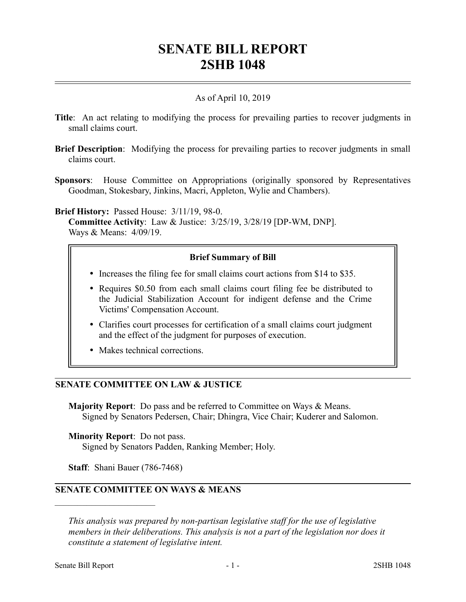# **SENATE BILL REPORT 2SHB 1048**

## As of April 10, 2019

- **Title**: An act relating to modifying the process for prevailing parties to recover judgments in small claims court.
- **Brief Description**: Modifying the process for prevailing parties to recover judgments in small claims court.
- **Sponsors**: House Committee on Appropriations (originally sponsored by Representatives Goodman, Stokesbary, Jinkins, Macri, Appleton, Wylie and Chambers).

**Brief History:** Passed House: 3/11/19, 98-0.

**Committee Activity**: Law & Justice: 3/25/19, 3/28/19 [DP-WM, DNP]. Ways & Means: 4/09/19.

#### **Brief Summary of Bill**

- Increases the filing fee for small claims court actions from \$14 to \$35.
- Requires \$0.50 from each small claims court filing fee be distributed to the Judicial Stabilization Account for indigent defense and the Crime Victims' Compensation Account.
- Clarifies court processes for certification of a small claims court judgment and the effect of the judgment for purposes of execution.
- Makes technical corrections.

## **SENATE COMMITTEE ON LAW & JUSTICE**

**Majority Report**: Do pass and be referred to Committee on Ways & Means. Signed by Senators Pedersen, Chair; Dhingra, Vice Chair; Kuderer and Salomon.

**Minority Report**: Do not pass. Signed by Senators Padden, Ranking Member; Holy.

**Staff**: Shani Bauer (786-7468)

––––––––––––––––––––––

# **SENATE COMMITTEE ON WAYS & MEANS**

*This analysis was prepared by non-partisan legislative staff for the use of legislative members in their deliberations. This analysis is not a part of the legislation nor does it constitute a statement of legislative intent.*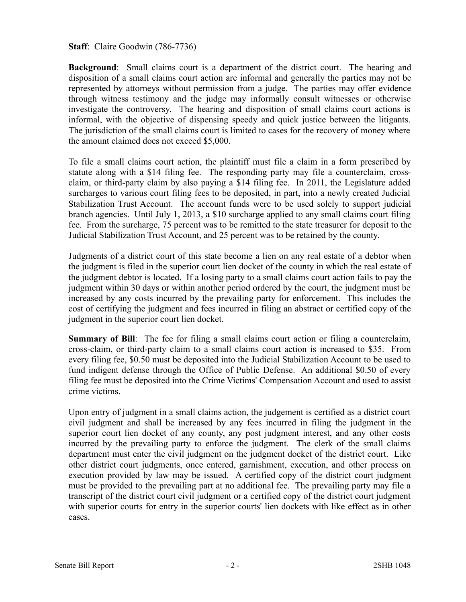**Staff**: Claire Goodwin (786-7736)

**Background**: Small claims court is a department of the district court. The hearing and disposition of a small claims court action are informal and generally the parties may not be represented by attorneys without permission from a judge. The parties may offer evidence through witness testimony and the judge may informally consult witnesses or otherwise investigate the controversy. The hearing and disposition of small claims court actions is informal, with the objective of dispensing speedy and quick justice between the litigants. The jurisdiction of the small claims court is limited to cases for the recovery of money where the amount claimed does not exceed \$5,000.

To file a small claims court action, the plaintiff must file a claim in a form prescribed by statute along with a \$14 filing fee. The responding party may file a counterclaim, crossclaim, or third-party claim by also paying a \$14 filing fee. In 2011, the Legislature added surcharges to various court filing fees to be deposited, in part, into a newly created Judicial Stabilization Trust Account. The account funds were to be used solely to support judicial branch agencies. Until July 1, 2013, a \$10 surcharge applied to any small claims court filing fee. From the surcharge, 75 percent was to be remitted to the state treasurer for deposit to the Judicial Stabilization Trust Account, and 25 percent was to be retained by the county.

Judgments of a district court of this state become a lien on any real estate of a debtor when the judgment is filed in the superior court lien docket of the county in which the real estate of the judgment debtor is located. If a losing party to a small claims court action fails to pay the judgment within 30 days or within another period ordered by the court, the judgment must be increased by any costs incurred by the prevailing party for enforcement. This includes the cost of certifying the judgment and fees incurred in filing an abstract or certified copy of the judgment in the superior court lien docket.

**Summary of Bill**: The fee for filing a small claims court action or filing a counterclaim, cross-claim, or third-party claim to a small claims court action is increased to \$35. From every filing fee, \$0.50 must be deposited into the Judicial Stabilization Account to be used to fund indigent defense through the Office of Public Defense. An additional \$0.50 of every filing fee must be deposited into the Crime Victims' Compensation Account and used to assist crime victims.

Upon entry of judgment in a small claims action, the judgement is certified as a district court civil judgment and shall be increased by any fees incurred in filing the judgment in the superior court lien docket of any county, any post judgment interest, and any other costs incurred by the prevailing party to enforce the judgment. The clerk of the small claims department must enter the civil judgment on the judgment docket of the district court. Like other district court judgments, once entered, garnishment, execution, and other process on execution provided by law may be issued. A certified copy of the district court judgment must be provided to the prevailing part at no additional fee. The prevailing party may file a transcript of the district court civil judgment or a certified copy of the district court judgment with superior courts for entry in the superior courts' lien dockets with like effect as in other cases.